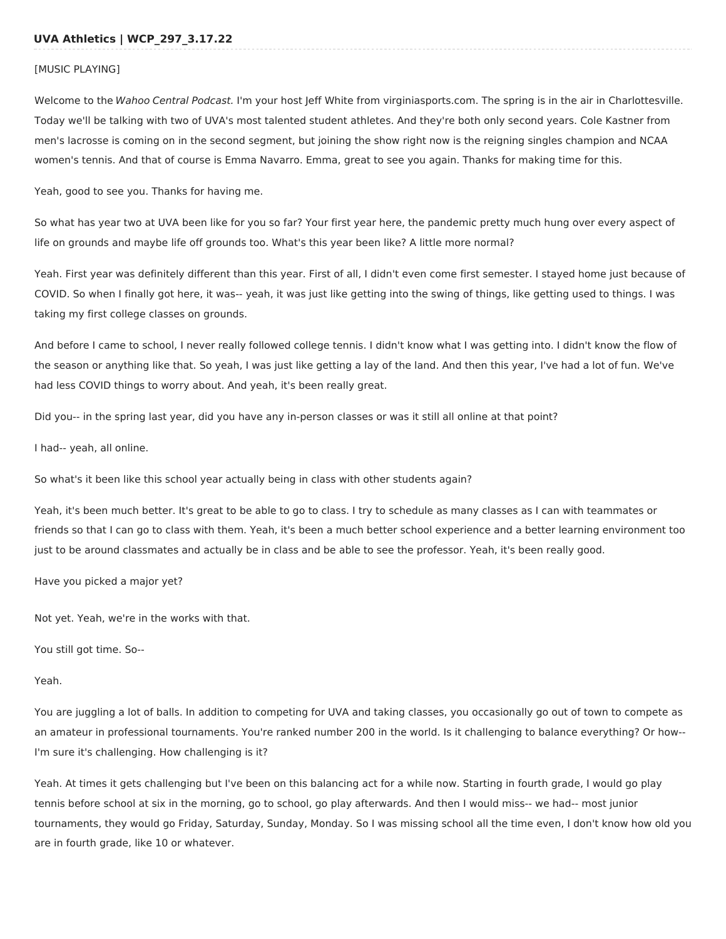### [MUSIC PLAYING]

Welcome to the Wahoo Central Podcast. I'm your host Jeff White from virginiasports.com. The spring is in the air in Charlottesville. Today we'll be talking with two of UVA's most talented student athletes. And they're both only second years. Cole Kastner from men's lacrosse is coming on in the second segment, but joining the show right now is the reigning singles champion and NCAA women's tennis. And that of course is Emma Navarro. Emma, great to see you again. Thanks for making time for this.

Yeah, good to see you. Thanks for having me.

So what has year two at UVA been like for you so far? Your first year here, the pandemic pretty much hung over every aspect of life on grounds and maybe life off grounds too. What's this year been like? A little more normal?

Yeah. First year was definitely different than this year. First of all, I didn't even come first semester. I stayed home just because of COVID. So when I finally got here, it was-- yeah, it was just like getting into the swing of things, like getting used to things. I was taking my first college classes on grounds.

And before I came to school, I never really followed college tennis. I didn't know what I was getting into. I didn't know the flow of the season or anything like that. So yeah, I was just like getting a lay of the land. And then this year, I've had a lot of fun. We've had less COVID things to worry about. And yeah, it's been really great.

Did you-- in the spring last year, did you have any in-person classes or was it still all online at that point?

I had-- yeah, all online.

So what's it been like this school year actually being in class with other students again?

Yeah, it's been much better. It's great to be able to go to class. I try to schedule as many classes as I can with teammates or friends so that I can go to class with them. Yeah, it's been a much better school experience and a better learning environment too just to be around classmates and actually be in class and be able to see the professor. Yeah, it's been really good.

Have you picked a major yet?

Not yet. Yeah, we're in the works with that.

You still got time. So--

Yeah.

You are juggling a lot of balls. In addition to competing for UVA and taking classes, you occasionally go out of town to compete as an amateur in professional tournaments. You're ranked number 200 in the world. Is it challenging to balance everything? Or how-- I'm sure it's challenging. How challenging is it?

Yeah. At times it gets challenging but I've been on this balancing act for a while now. Starting in fourth grade, I would go play tennis before school at six in the morning, go to school, go play afterwards. And then I would miss-- we had-- most junior tournaments, they would go Friday, Saturday, Sunday, Monday. So I was missing school all the time even, I don't know how old you are in fourth grade, like 10 or whatever.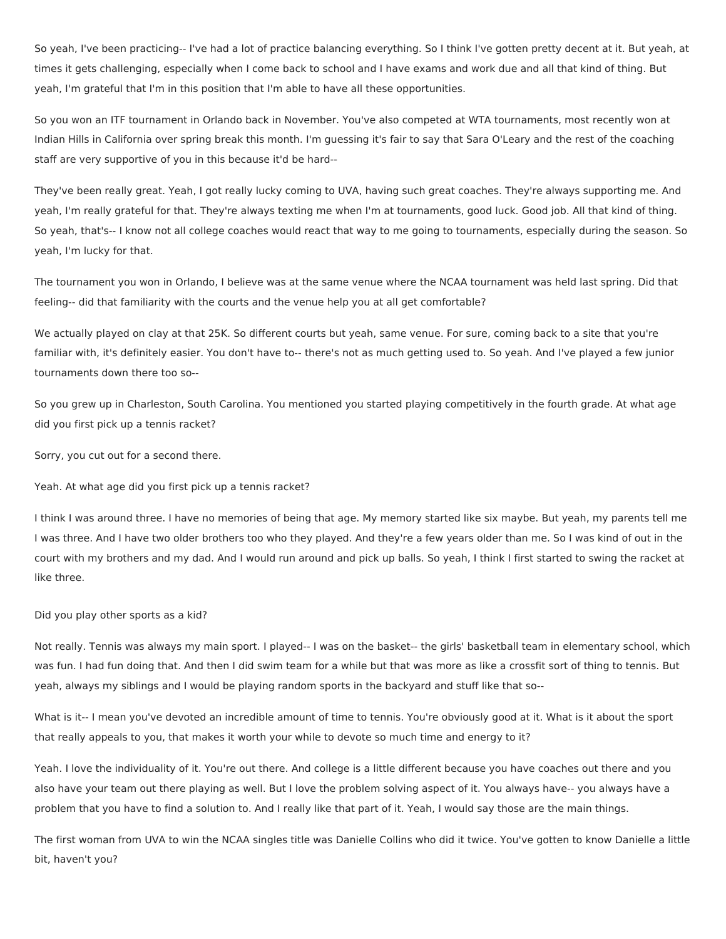So yeah, I've been practicing-- I've had a lot of practice balancing everything. So I think I've gotten pretty decent at it. But yeah, at times it gets challenging, especially when I come back to school and I have exams and work due and all that kind of thing. But yeah, I'm grateful that I'm in this position that I'm able to have all these opportunities.

So you won an ITF tournament in Orlando back in November. You've also competed at WTA tournaments, most recently won at Indian Hills in California over spring break this month. I'm guessing it's fair to say that Sara O'Leary and the rest of the coaching staff are very supportive of you in this because it'd be hard--

They've been really great. Yeah, I got really lucky coming to UVA, having such great coaches. They're always supporting me. And yeah, I'm really grateful for that. They're always texting me when I'm at tournaments, good luck. Good job. All that kind of thing. So yeah, that's-- I know not all college coaches would react that way to me going to tournaments, especially during the season. So yeah, I'm lucky for that.

The tournament you won in Orlando, I believe was at the same venue where the NCAA tournament was held last spring. Did that feeling-- did that familiarity with the courts and the venue help you at all get comfortable?

We actually played on clay at that 25K. So different courts but yeah, same venue. For sure, coming back to a site that you're familiar with, it's definitely easier. You don't have to-- there's not as much getting used to. So yeah. And I've played a few junior tournaments down there too so--

So you grew up in Charleston, South Carolina. You mentioned you started playing competitively in the fourth grade. At what age did you first pick up a tennis racket?

Sorry, you cut out for a second there.

Yeah. At what age did you first pick up a tennis racket?

I think I was around three. I have no memories of being that age. My memory started like six maybe. But yeah, my parents tell me I was three. And I have two older brothers too who they played. And they're a few years older than me. So I was kind of out in the court with my brothers and my dad. And I would run around and pick up balls. So yeah, I think I first started to swing the racket at like three.

#### Did you play other sports as a kid?

Not really. Tennis was always my main sport. I played-- I was on the basket-- the girls' basketball team in elementary school, which was fun. I had fun doing that. And then I did swim team for a while but that was more as like a crossfit sort of thing to tennis. But yeah, always my siblings and I would be playing random sports in the backyard and stuff like that so--

What is it-- I mean you've devoted an incredible amount of time to tennis. You're obviously good at it. What is it about the sport that really appeals to you, that makes it worth your while to devote so much time and energy to it?

Yeah. I love the individuality of it. You're out there. And college is a little different because you have coaches out there and you also have your team out there playing as well. But I love the problem solving aspect of it. You always have-- you always have a problem that you have to find a solution to. And I really like that part of it. Yeah, I would say those are the main things.

The first woman from UVA to win the NCAA singles title was Danielle Collins who did it twice. You've gotten to know Danielle a little bit, haven't you?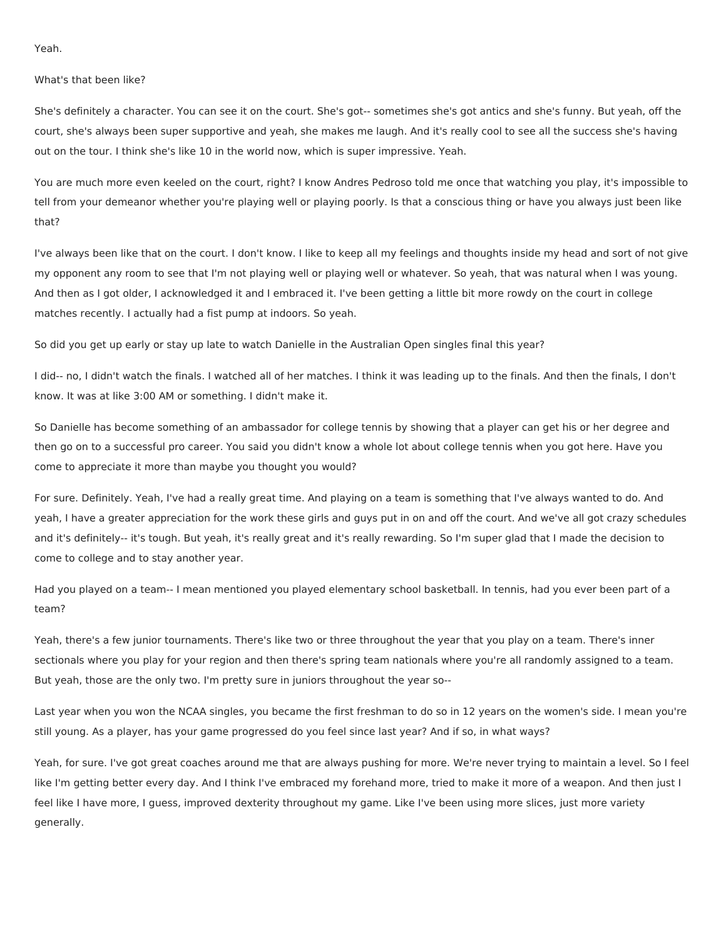Yeah.

## What's that been like?

She's definitely a character. You can see it on the court. She's got-- sometimes she's got antics and she's funny. But yeah, off the court, she's always been super supportive and yeah, she makes me laugh. And it's really cool to see all the success she's having out on the tour. I think she's like 10 in the world now, which is super impressive. Yeah.

You are much more even keeled on the court, right? I know Andres Pedroso told me once that watching you play, it's impossible to tell from your demeanor whether you're playing well or playing poorly. Is that a conscious thing or have you always just been like that?

I've always been like that on the court. I don't know. I like to keep all my feelings and thoughts inside my head and sort of not give my opponent any room to see that I'm not playing well or playing well or whatever. So yeah, that was natural when I was young. And then as I got older, I acknowledged it and I embraced it. I've been getting a little bit more rowdy on the court in college matches recently. I actually had a fist pump at indoors. So yeah.

So did you get up early or stay up late to watch Danielle in the Australian Open singles final this year?

I did-- no, I didn't watch the finals. I watched all of her matches. I think it was leading up to the finals. And then the finals, I don't know. It was at like 3:00 AM or something. I didn't make it.

So Danielle has become something of an ambassador for college tennis by showing that a player can get his or her degree and then go on to a successful pro career. You said you didn't know a whole lot about college tennis when you got here. Have you come to appreciate it more than maybe you thought you would?

For sure. Definitely. Yeah, I've had a really great time. And playing on a team is something that I've always wanted to do. And yeah, I have a greater appreciation for the work these girls and guys put in on and off the court. And we've all got crazy schedules and it's definitely-- it's tough. But yeah, it's really great and it's really rewarding. So I'm super glad that I made the decision to come to college and to stay another year.

Had you played on a team-- I mean mentioned you played elementary school basketball. In tennis, had you ever been part of a team?

Yeah, there's a few junior tournaments. There's like two or three throughout the year that you play on a team. There's inner sectionals where you play for your region and then there's spring team nationals where you're all randomly assigned to a team. But yeah, those are the only two. I'm pretty sure in juniors throughout the year so--

Last year when you won the NCAA singles, you became the first freshman to do so in 12 years on the women's side. I mean you're still young. As a player, has your game progressed do you feel since last year? And if so, in what ways?

Yeah, for sure. I've got great coaches around me that are always pushing for more. We're never trying to maintain a level. So I feel like I'm getting better every day. And I think I've embraced my forehand more, tried to make it more of a weapon. And then just I feel like I have more, I guess, improved dexterity throughout my game. Like I've been using more slices, just more variety generally.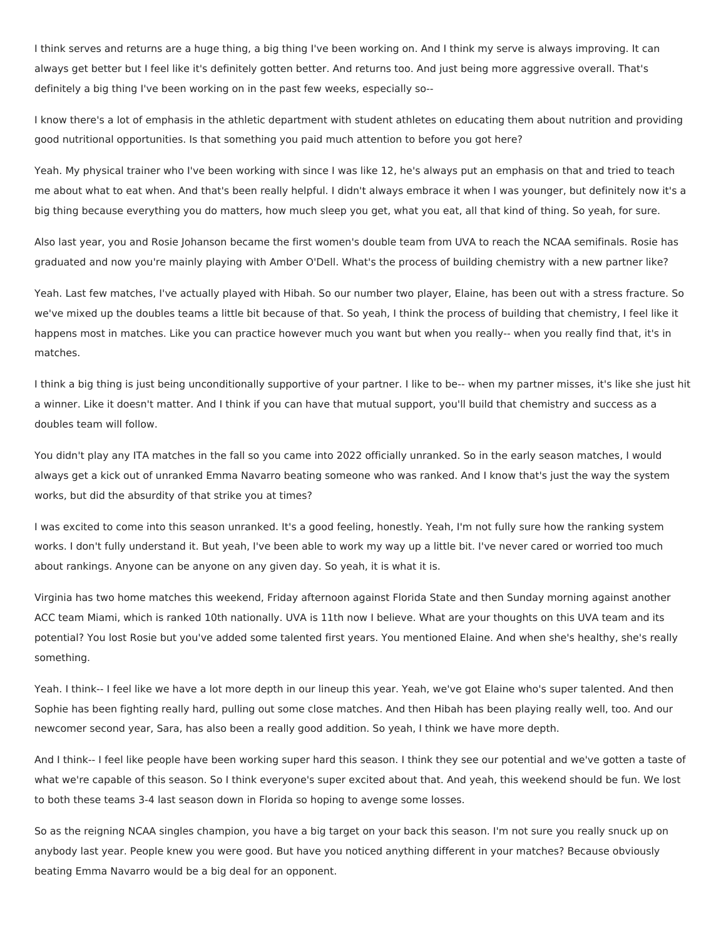I think serves and returns are a huge thing, a big thing I've been working on. And I think my serve is always improving. It can always get better but I feel like it's definitely gotten better. And returns too. And just being more aggressive overall. That's definitely a big thing I've been working on in the past few weeks, especially so--

I know there's a lot of emphasis in the athletic department with student athletes on educating them about nutrition and providing good nutritional opportunities. Is that something you paid much attention to before you got here?

Yeah. My physical trainer who I've been working with since I was like 12, he's always put an emphasis on that and tried to teach me about what to eat when. And that's been really helpful. I didn't always embrace it when I was younger, but definitely now it's a big thing because everything you do matters, how much sleep you get, what you eat, all that kind of thing. So yeah, for sure.

Also last year, you and Rosie Johanson became the first women's double team from UVA to reach the NCAA semifinals. Rosie has graduated and now you're mainly playing with Amber O'Dell. What's the process of building chemistry with a new partner like?

Yeah. Last few matches, I've actually played with Hibah. So our number two player, Elaine, has been out with a stress fracture. So we've mixed up the doubles teams a little bit because of that. So yeah, I think the process of building that chemistry, I feel like it happens most in matches. Like you can practice however much you want but when you really-- when you really find that, it's in matches.

I think a big thing is just being unconditionally supportive of your partner. I like to be-- when my partner misses, it's like she just hit a winner. Like it doesn't matter. And I think if you can have that mutual support, you'll build that chemistry and success as a doubles team will follow.

You didn't play any ITA matches in the fall so you came into 2022 officially unranked. So in the early season matches, I would always get a kick out of unranked Emma Navarro beating someone who was ranked. And I know that's just the way the system works, but did the absurdity of that strike you at times?

I was excited to come into this season unranked. It's a good feeling, honestly. Yeah, I'm not fully sure how the ranking system works. I don't fully understand it. But yeah, I've been able to work my way up a little bit. I've never cared or worried too much about rankings. Anyone can be anyone on any given day. So yeah, it is what it is.

Virginia has two home matches this weekend, Friday afternoon against Florida State and then Sunday morning against another ACC team Miami, which is ranked 10th nationally. UVA is 11th now I believe. What are your thoughts on this UVA team and its potential? You lost Rosie but you've added some talented first years. You mentioned Elaine. And when she's healthy, she's really something.

Yeah. I think-- I feel like we have a lot more depth in our lineup this year. Yeah, we've got Elaine who's super talented. And then Sophie has been fighting really hard, pulling out some close matches. And then Hibah has been playing really well, too. And our newcomer second year, Sara, has also been a really good addition. So yeah, I think we have more depth.

And I think-- I feel like people have been working super hard this season. I think they see our potential and we've gotten a taste of what we're capable of this season. So I think everyone's super excited about that. And yeah, this weekend should be fun. We lost to both these teams 3-4 last season down in Florida so hoping to avenge some losses.

So as the reigning NCAA singles champion, you have a big target on your back this season. I'm not sure you really snuck up on anybody last year. People knew you were good. But have you noticed anything different in your matches? Because obviously beating Emma Navarro would be a big deal for an opponent.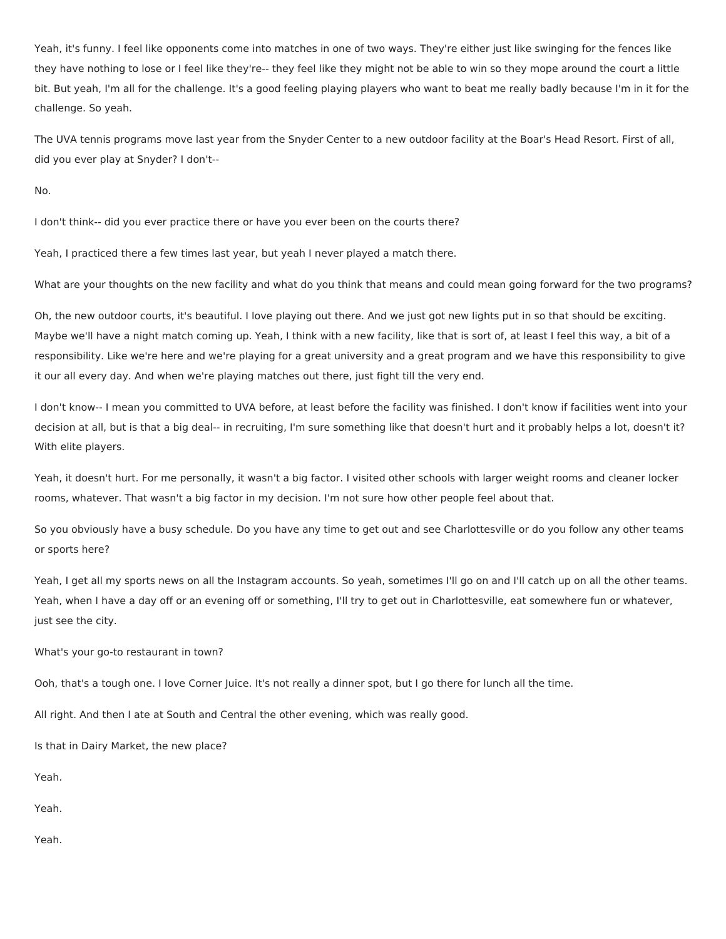Yeah, it's funny. I feel like opponents come into matches in one of two ways. They're either just like swinging for the fences like they have nothing to lose or I feel like they're-- they feel like they might not be able to win so they mope around the court a little bit. But yeah, I'm all for the challenge. It's a good feeling playing players who want to beat me really badly because I'm in it for the challenge. So yeah.

The UVA tennis programs move last year from the Snyder Center to a new outdoor facility at the Boar's Head Resort. First of all, did you ever play at Snyder? I don't--

No.

I don't think-- did you ever practice there or have you ever been on the courts there?

Yeah, I practiced there a few times last year, but yeah I never played a match there.

What are your thoughts on the new facility and what do you think that means and could mean going forward for the two programs?

Oh, the new outdoor courts, it's beautiful. I love playing out there. And we just got new lights put in so that should be exciting. Maybe we'll have a night match coming up. Yeah, I think with a new facility, like that is sort of, at least I feel this way, a bit of a responsibility. Like we're here and we're playing for a great university and a great program and we have this responsibility to give it our all every day. And when we're playing matches out there, just fight till the very end.

I don't know-- I mean you committed to UVA before, at least before the facility was finished. I don't know if facilities went into your decision at all, but is that a big deal-- in recruiting, I'm sure something like that doesn't hurt and it probably helps a lot, doesn't it? With elite players.

Yeah, it doesn't hurt. For me personally, it wasn't a big factor. I visited other schools with larger weight rooms and cleaner locker rooms, whatever. That wasn't a big factor in my decision. I'm not sure how other people feel about that.

So you obviously have a busy schedule. Do you have any time to get out and see Charlottesville or do you follow any other teams or sports here?

Yeah, I get all my sports news on all the Instagram accounts. So yeah, sometimes I'll go on and I'll catch up on all the other teams. Yeah, when I have a day off or an evening off or something, I'll try to get out in Charlottesville, eat somewhere fun or whatever, just see the city.

What's your go-to restaurant in town?

Ooh, that's a tough one. I love Corner Juice. It's not really a dinner spot, but I go there for lunch all the time.

All right. And then I ate at South and Central the other evening, which was really good.

Is that in Dairy Market, the new place?

Yeah.

Yeah.

Yeah.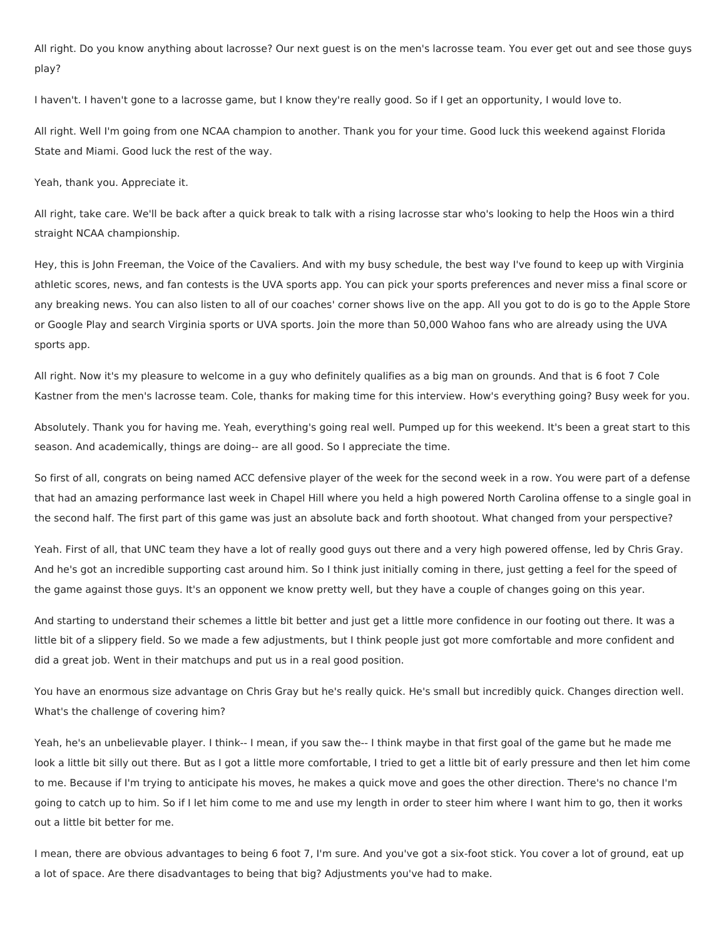All right. Do you know anything about lacrosse? Our next guest is on the men's lacrosse team. You ever get out and see those guys play?

I haven't. I haven't gone to a lacrosse game, but I know they're really good. So if I get an opportunity, I would love to.

All right. Well I'm going from one NCAA champion to another. Thank you for your time. Good luck this weekend against Florida State and Miami. Good luck the rest of the way.

Yeah, thank you. Appreciate it.

All right, take care. We'll be back after a quick break to talk with a rising lacrosse star who's looking to help the Hoos win a third straight NCAA championship.

Hey, this is John Freeman, the Voice of the Cavaliers. And with my busy schedule, the best way I've found to keep up with Virginia athletic scores, news, and fan contests is the UVA sports app. You can pick your sports preferences and never miss a final score or any breaking news. You can also listen to all of our coaches' corner shows live on the app. All you got to do is go to the Apple Store or Google Play and search Virginia sports or UVA sports. Join the more than 50,000 Wahoo fans who are already using the UVA sports app.

All right. Now it's my pleasure to welcome in a guy who definitely qualifies as a big man on grounds. And that is 6 foot 7 Cole Kastner from the men's lacrosse team. Cole, thanks for making time for this interview. How's everything going? Busy week for you.

Absolutely. Thank you for having me. Yeah, everything's going real well. Pumped up for this weekend. It's been a great start to this season. And academically, things are doing-- are all good. So I appreciate the time.

So first of all, congrats on being named ACC defensive player of the week for the second week in a row. You were part of a defense that had an amazing performance last week in Chapel Hill where you held a high powered North Carolina offense to a single goal in the second half. The first part of this game was just an absolute back and forth shootout. What changed from your perspective?

Yeah. First of all, that UNC team they have a lot of really good guys out there and a very high powered offense, led by Chris Gray. And he's got an incredible supporting cast around him. So I think just initially coming in there, just getting a feel for the speed of the game against those guys. It's an opponent we know pretty well, but they have a couple of changes going on this year.

And starting to understand their schemes a little bit better and just get a little more confidence in our footing out there. It was a little bit of a slippery field. So we made a few adjustments, but I think people just got more comfortable and more confident and did a great job. Went in their matchups and put us in a real good position.

You have an enormous size advantage on Chris Gray but he's really quick. He's small but incredibly quick. Changes direction well. What's the challenge of covering him?

Yeah, he's an unbelievable player. I think-- I mean, if you saw the-- I think maybe in that first goal of the game but he made me look a little bit silly out there. But as I got a little more comfortable, I tried to get a little bit of early pressure and then let him come to me. Because if I'm trying to anticipate his moves, he makes a quick move and goes the other direction. There's no chance I'm going to catch up to him. So if I let him come to me and use my length in order to steer him where I want him to go, then it works out a little bit better for me.

I mean, there are obvious advantages to being 6 foot 7, I'm sure. And you've got a six-foot stick. You cover a lot of ground, eat up a lot of space. Are there disadvantages to being that big? Adjustments you've had to make.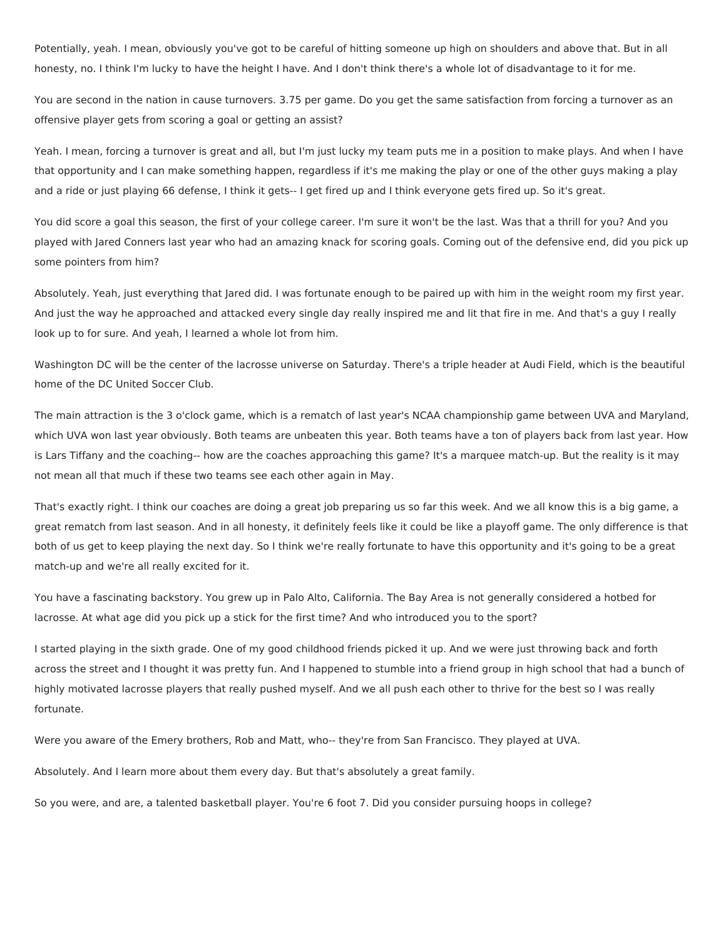Potentially, yeah. I mean, obviously you've got to be careful of hitting someone up high on shoulders and above that. But in all honesty, no. I think I'm lucky to have the height I have. And I don't think there's a whole lot of disadvantage to it for me.

You are second in the nation in cause turnovers. 3.75 per game. Do you get the same satisfaction from forcing a turnover as an offensive player gets from scoring a goal or getting an assist?

Yeah. I mean, forcing a turnover is great and all, but I'm just lucky my team puts me in a position to make plays. And when I have that opportunity and I can make something happen, regardless if it's me making the play or one of the other guys making a play and a ride or just playing 66 defense, I think it gets-- I get fired up and I think everyone gets fired up. So it's great.

You did score a goal this season, the first of your college career. I'm sure it won't be the last. Was that a thrill for you? And you played with Jared Conners last year who had an amazing knack for scoring goals. Coming out of the defensive end, did you pick up some pointers from him?

Absolutely. Yeah, just everything that Jared did. I was fortunate enough to be paired up with him in the weight room my first year. And just the way he approached and attacked every single day really inspired me and lit that fire in me. And that's a guy I really look up to for sure. And yeah, I learned a whole lot from him.

Washington DC will be the center of the lacrosse universe on Saturday. There's a triple header at Audi Field, which is the beautiful home of the DC United Soccer Club.

The main attraction is the 3 o'clock game, which is a rematch of last year's NCAA championship game between UVA and Maryland, which UVA won last year obviously. Both teams are unbeaten this year. Both teams have a ton of players back from last year. How is Lars Tiffany and the coaching-- how are the coaches approaching this game? It's a marquee match-up. But the reality is it may not mean all that much if these two teams see each other again in May.

That's exactly right. I think our coaches are doing a great job preparing us so far this week. And we all know this is a big game, a great rematch from last season. And in all honesty, it definitely feels like it could be like a playoff game. The only difference is that both of us get to keep playing the next day. So I think we're really fortunate to have this opportunity and it's going to be a great match-up and we're all really excited for it.

You have a fascinating backstory. You grew up in Palo Alto, California. The Bay Area is not generally considered a hotbed for lacrosse. At what age did you pick up a stick for the first time? And who introduced you to the sport?

I started playing in the sixth grade. One of my good childhood friends picked it up. And we were just throwing back and forth across the street and I thought it was pretty fun. And I happened to stumble into a friend group in high school that had a bunch of highly motivated lacrosse players that really pushed myself. And we all push each other to thrive for the best so I was really fortunate.

Were you aware of the Emery brothers, Rob and Matt, who-- they're from San Francisco. They played at UVA.

Absolutely. And I learn more about them every day. But that's absolutely a great family.

So you were, and are, a talented basketball player. You're 6 foot 7. Did you consider pursuing hoops in college?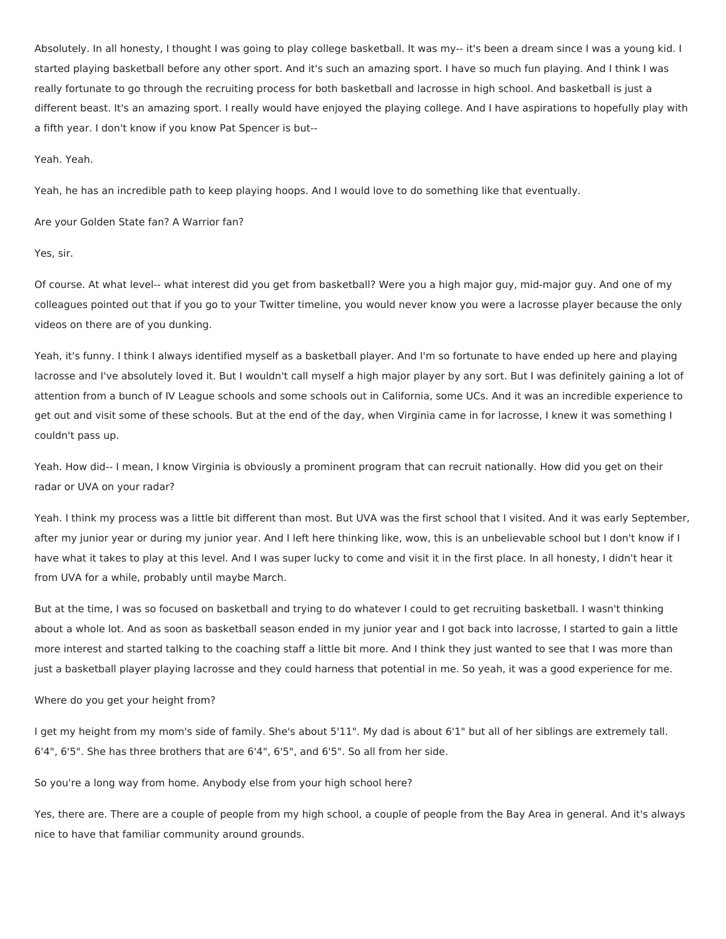Absolutely. In all honesty, I thought I was going to play college basketball. It was my-- it's been a dream since I was a young kid. I started playing basketball before any other sport. And it's such an amazing sport. I have so much fun playing. And I think I was really fortunate to go through the recruiting process for both basketball and lacrosse in high school. And basketball is just a different beast. It's an amazing sport. I really would have enjoyed the playing college. And I have aspirations to hopefully play with a fifth year. I don't know if you know Pat Spencer is but--

# Yeah. Yeah.

Yeah, he has an incredible path to keep playing hoops. And I would love to do something like that eventually.

Are your Golden State fan? A Warrior fan?

## Yes, sir.

Of course. At what level-- what interest did you get from basketball? Were you a high major guy, mid-major guy. And one of my colleagues pointed out that if you go to your Twitter timeline, you would never know you were a lacrosse player because the only videos on there are of you dunking.

Yeah, it's funny. I think I always identified myself as a basketball player. And I'm so fortunate to have ended up here and playing lacrosse and I've absolutely loved it. But I wouldn't call myself a high major player by any sort. But I was definitely gaining a lot of attention from a bunch of IV League schools and some schools out in California, some UCs. And it was an incredible experience to get out and visit some of these schools. But at the end of the day, when Virginia came in for lacrosse, I knew it was something I couldn't pass up.

Yeah. How did-- I mean, I know Virginia is obviously a prominent program that can recruit nationally. How did you get on their radar or UVA on your radar?

Yeah. I think my process was a little bit different than most. But UVA was the first school that I visited. And it was early September, after my junior year or during my junior year. And I left here thinking like, wow, this is an unbelievable school but I don't know if I have what it takes to play at this level. And I was super lucky to come and visit it in the first place. In all honesty, I didn't hear it from UVA for a while, probably until maybe March.

But at the time, I was so focused on basketball and trying to do whatever I could to get recruiting basketball. I wasn't thinking about a whole lot. And as soon as basketball season ended in my junior year and I got back into lacrosse, I started to gain a little more interest and started talking to the coaching staff a little bit more. And I think they just wanted to see that I was more than just a basketball player playing lacrosse and they could harness that potential in me. So yeah, it was a good experience for me.

### Where do you get your height from?

I get my height from my mom's side of family. She's about 5'11". My dad is about 6'1" but all of her siblings are extremely tall. 6'4", 6'5". She has three brothers that are 6'4", 6'5", and 6'5". So all from her side.

So you're a long way from home. Anybody else from your high school here?

Yes, there are. There are a couple of people from my high school, a couple of people from the Bay Area in general. And it's always nice to have that familiar community around grounds.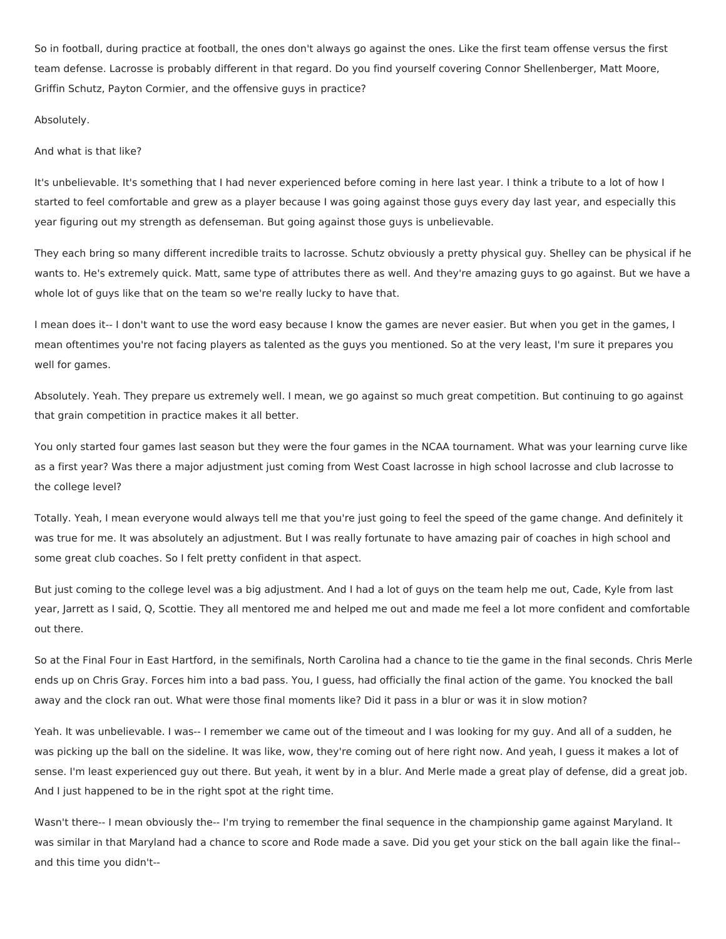So in football, during practice at football, the ones don't always go against the ones. Like the first team offense versus the first team defense. Lacrosse is probably different in that regard. Do you find yourself covering Connor Shellenberger, Matt Moore, Griffin Schutz, Payton Cormier, and the offensive guys in practice?

# Absolutely.

# And what is that like?

It's unbelievable. It's something that I had never experienced before coming in here last year. I think a tribute to a lot of how I started to feel comfortable and grew as a player because I was going against those guys every day last year, and especially this year figuring out my strength as defenseman. But going against those guys is unbelievable.

They each bring so many different incredible traits to lacrosse. Schutz obviously a pretty physical guy. Shelley can be physical if he wants to. He's extremely quick. Matt, same type of attributes there as well. And they're amazing guys to go against. But we have a whole lot of guys like that on the team so we're really lucky to have that.

I mean does it-- I don't want to use the word easy because I know the games are never easier. But when you get in the games, I mean oftentimes you're not facing players as talented as the guys you mentioned. So at the very least, I'm sure it prepares you well for games.

Absolutely. Yeah. They prepare us extremely well. I mean, we go against so much great competition. But continuing to go against that grain competition in practice makes it all better.

You only started four games last season but they were the four games in the NCAA tournament. What was your learning curve like as a first year? Was there a major adjustment just coming from West Coast lacrosse in high school lacrosse and club lacrosse to the college level?

Totally. Yeah, I mean everyone would always tell me that you're just going to feel the speed of the game change. And definitely it was true for me. It was absolutely an adjustment. But I was really fortunate to have amazing pair of coaches in high school and some great club coaches. So I felt pretty confident in that aspect.

But just coming to the college level was a big adjustment. And I had a lot of guys on the team help me out, Cade, Kyle from last year, Jarrett as I said, Q, Scottie. They all mentored me and helped me out and made me feel a lot more confident and comfortable out there.

So at the Final Four in East Hartford, in the semifinals, North Carolina had a chance to tie the game in the final seconds. Chris Merle ends up on Chris Gray. Forces him into a bad pass. You, I guess, had officially the final action of the game. You knocked the ball away and the clock ran out. What were those final moments like? Did it pass in a blur or was it in slow motion?

Yeah. It was unbelievable. I was-- I remember we came out of the timeout and I was looking for my guy. And all of a sudden, he was picking up the ball on the sideline. It was like, wow, they're coming out of here right now. And yeah, I guess it makes a lot of sense. I'm least experienced guy out there. But yeah, it went by in a blur. And Merle made a great play of defense, did a great job. And I just happened to be in the right spot at the right time.

Wasn't there-- I mean obviously the-- I'm trying to remember the final sequence in the championship game against Maryland. It was similar in that Maryland had a chance to score and Rode made a save. Did you get your stick on the ball again like the final- and this time you didn't--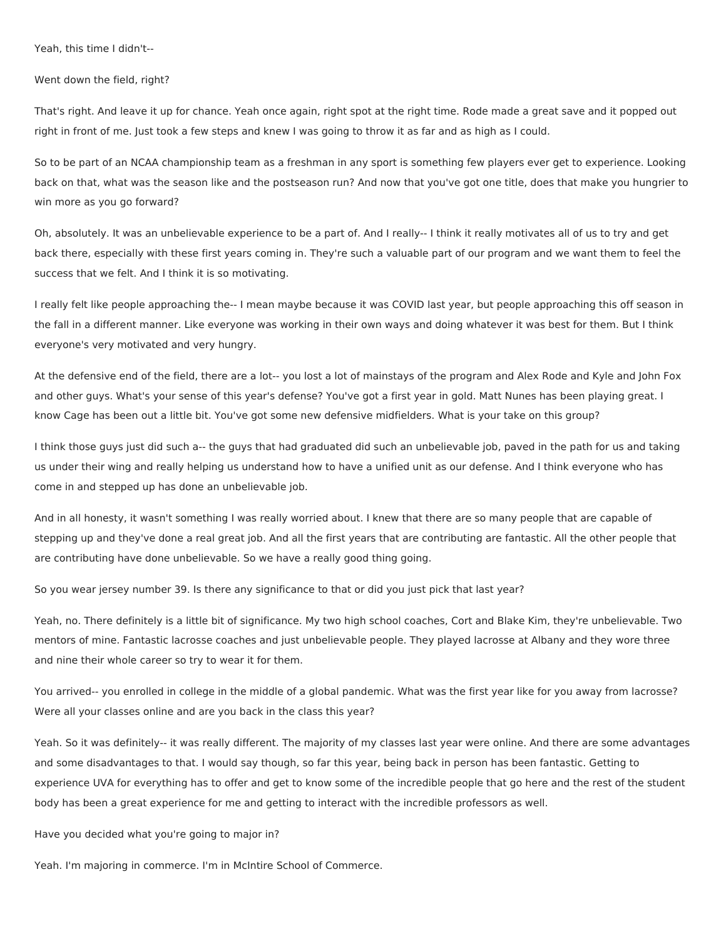Yeah, this time I didn't--

Went down the field, right?

That's right. And leave it up for chance. Yeah once again, right spot at the right time. Rode made a great save and it popped out right in front of me. Just took a few steps and knew I was going to throw it as far and as high as I could.

So to be part of an NCAA championship team as a freshman in any sport is something few players ever get to experience. Looking back on that, what was the season like and the postseason run? And now that you've got one title, does that make you hungrier to win more as you go forward?

Oh, absolutely. It was an unbelievable experience to be a part of. And I really-- I think it really motivates all of us to try and get back there, especially with these first years coming in. They're such a valuable part of our program and we want them to feel the success that we felt. And I think it is so motivating.

I really felt like people approaching the-- I mean maybe because it was COVID last year, but people approaching this off season in the fall in a different manner. Like everyone was working in their own ways and doing whatever it was best for them. But I think everyone's very motivated and very hungry.

At the defensive end of the field, there are a lot-- you lost a lot of mainstays of the program and Alex Rode and Kyle and John Fox and other guys. What's your sense of this year's defense? You've got a first year in gold. Matt Nunes has been playing great. I know Cage has been out a little bit. You've got some new defensive midfielders. What is your take on this group?

I think those guys just did such a-- the guys that had graduated did such an unbelievable job, paved in the path for us and taking us under their wing and really helping us understand how to have a unified unit as our defense. And I think everyone who has come in and stepped up has done an unbelievable job.

And in all honesty, it wasn't something I was really worried about. I knew that there are so many people that are capable of stepping up and they've done a real great job. And all the first years that are contributing are fantastic. All the other people that are contributing have done unbelievable. So we have a really good thing going.

So you wear jersey number 39. Is there any significance to that or did you just pick that last year?

Yeah, no. There definitely is a little bit of significance. My two high school coaches, Cort and Blake Kim, they're unbelievable. Two mentors of mine. Fantastic lacrosse coaches and just unbelievable people. They played lacrosse at Albany and they wore three and nine their whole career so try to wear it for them.

You arrived-- you enrolled in college in the middle of a global pandemic. What was the first year like for you away from lacrosse? Were all your classes online and are you back in the class this year?

Yeah. So it was definitely-- it was really different. The majority of my classes last year were online. And there are some advantages and some disadvantages to that. I would say though, so far this year, being back in person has been fantastic. Getting to experience UVA for everything has to offer and get to know some of the incredible people that go here and the rest of the student body has been a great experience for me and getting to interact with the incredible professors as well.

Have you decided what you're going to major in?

Yeah. I'm majoring in commerce. I'm in McIntire School of Commerce.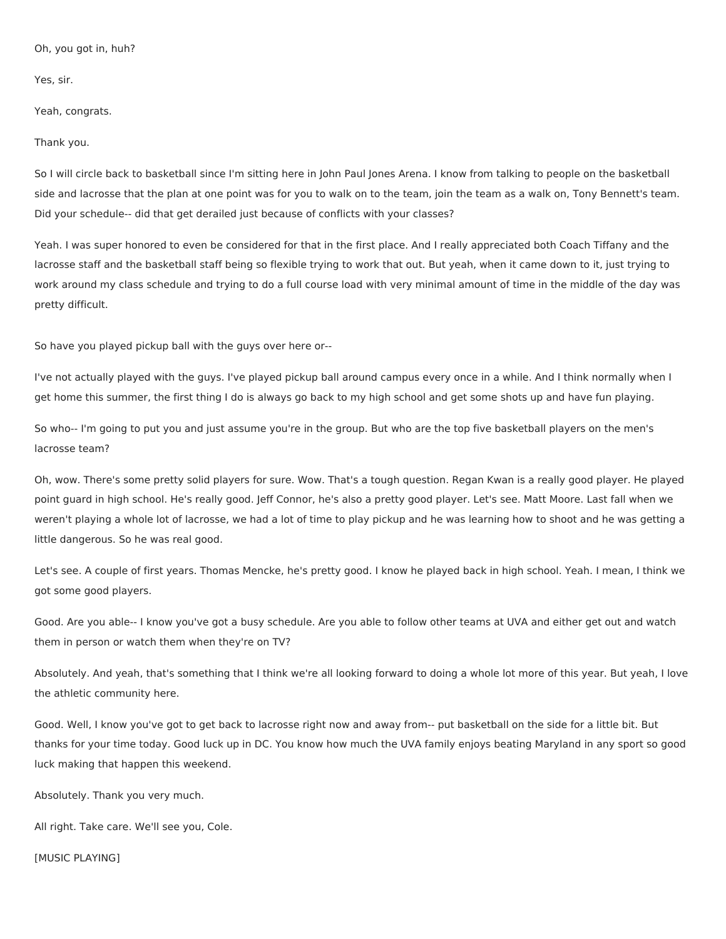Oh, you got in, huh?

Yes, sir.

Yeah, congrats.

Thank you.

So I will circle back to basketball since I'm sitting here in John Paul Jones Arena. I know from talking to people on the basketball side and lacrosse that the plan at one point was for you to walk on to the team, join the team as a walk on, Tony Bennett's team. Did your schedule-- did that get derailed just because of conflicts with your classes?

Yeah. I was super honored to even be considered for that in the first place. And I really appreciated both Coach Tiffany and the lacrosse staff and the basketball staff being so flexible trying to work that out. But yeah, when it came down to it, just trying to work around my class schedule and trying to do a full course load with very minimal amount of time in the middle of the day was pretty difficult.

So have you played pickup ball with the guys over here or--

I've not actually played with the guys. I've played pickup ball around campus every once in a while. And I think normally when I get home this summer, the first thing I do is always go back to my high school and get some shots up and have fun playing.

So who-- I'm going to put you and just assume you're in the group. But who are the top five basketball players on the men's lacrosse team?

Oh, wow. There's some pretty solid players for sure. Wow. That's a tough question. Regan Kwan is a really good player. He played point guard in high school. He's really good. Jeff Connor, he's also a pretty good player. Let's see. Matt Moore. Last fall when we weren't playing a whole lot of lacrosse, we had a lot of time to play pickup and he was learning how to shoot and he was getting a little dangerous. So he was real good.

Let's see. A couple of first years. Thomas Mencke, he's pretty good. I know he played back in high school. Yeah. I mean, I think we got some good players.

Good. Are you able-- I know you've got a busy schedule. Are you able to follow other teams at UVA and either get out and watch them in person or watch them when they're on TV?

Absolutely. And yeah, that's something that I think we're all looking forward to doing a whole lot more of this year. But yeah, I love the athletic community here.

Good. Well, I know you've got to get back to lacrosse right now and away from-- put basketball on the side for a little bit. But thanks for your time today. Good luck up in DC. You know how much the UVA family enjoys beating Maryland in any sport so good luck making that happen this weekend.

Absolutely. Thank you very much.

All right. Take care. We'll see you, Cole.

[MUSIC PLAYING]